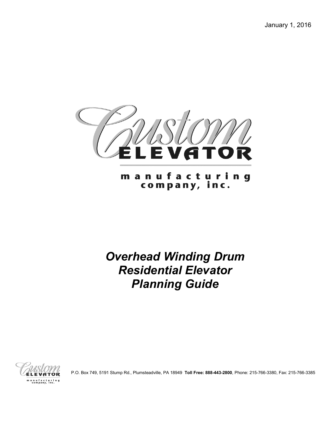January 1, 2016



m a n u f a c t u r i n g<br>company, inc.

*Overhead Winding Drum Residential Elevator Planning Guide*



P.O. Box 749, 5191 Stump Rd., Plumsteadville, PA 18949 **Toll Free: 888-443-2800**, Phone: 215-766-3380, Fax: 215-766-3385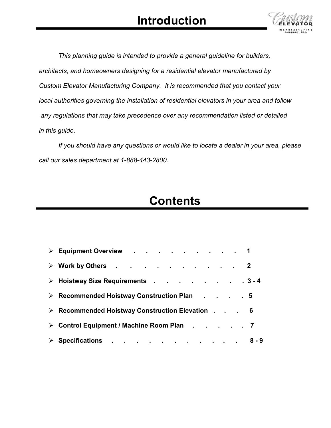## **Introduction**



*This planning guide is intended to provide a general guideline for builders, architects, and homeowners designing for a residential elevator manufactured by Custom Elevator Manufacturing Company. It is recommended that you contact your local authorities governing the installation of residential elevators in your area and follow any regulations that may take precedence over any recommendation listed or detailed in this guide.*

*If you should have any questions or would like to locate a dealer in your area, please call our sales department at 1-888-443-2800.*

## **Contents**

| > Equipment Overview 1                          |  |
|-------------------------------------------------|--|
| > Work by Others 2                              |  |
| > Hoistway Size Requirements 3-4                |  |
| > Recommended Hoistway Construction Plan 5      |  |
| > Recommended Hoistway Construction Elevation 6 |  |
| > Control Equipment / Machine Room Plan 7       |  |
| > Specifications 8-9                            |  |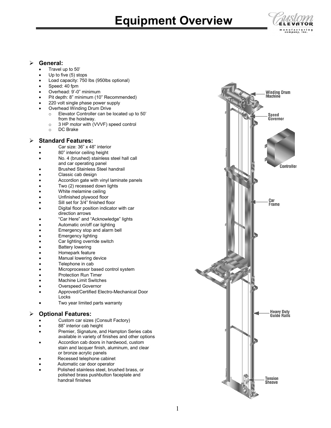# **Equipment Overview**



## **General:**

- Travel up to 50'
- Up to five (5) stops
- Load capacity: 750 lbs (950lbs optional)
- Speed: 40 fpm
- Overhead: 9'-0" minimum
- Pit depth: 8" minimum (10" Recommended)
- 220 volt single phase power supply
- Overhead Winding Drum Drive
	- o Elevator Controller can be located up to 50' from the hoistway.
		- $\circ$  3 HP motor with (VVVF) speed control<br> $\circ$  DC Brake
		- DC Brake
- **Standard Features:**
	- Car size: 36" x 48" interior
	- 80" interior ceiling height
	- No. 4 (brushed) stainless steel hall call and car operating panel
	- Brushed Stainless Steel handrail
	- Classic cab design
	- Accordion gate with vinyl laminate panels
	- Two (2) recessed down lights
	- White melamine ceiling
	- Unfinished plywood floor
	- Sill set for 3/4" finished floor
	- Digital floor position indicator with car direction arrows
	- "Car Here" and "Acknowledge" lights
	- Automatic on/off car lighting
	- Emergency stop and alarm bell
	- **Emergency lighting**
	- Car lighting override switch
	- **Battery lowering**
	- Homepark feature
	- Manual lowering device
	- Telephone in cab
	- Microprocessor based control system
	- Protection Run Timer
	- Machine Limit Switches
	- Overspeed Governor
	- Approved/Certified Electro-Mechanical Door **Locks**
	- Two year limited parts warranty

## **Optional Features:**

- Custom car sizes (Consult Factory)
- 88" interior cab height
- Premier, Signature, and Hampton Series cabs available in variety of finishes and other options
- Accordion cab doors in hardwood, custom stain and lacquer finish, aluminum, and clear or bronze acrylic panels
- Recessed telephone cabinet
- Automatic car door operator
- Polished stainless steel, brushed brass, or polished brass pushbutton faceplate and handrail finishes

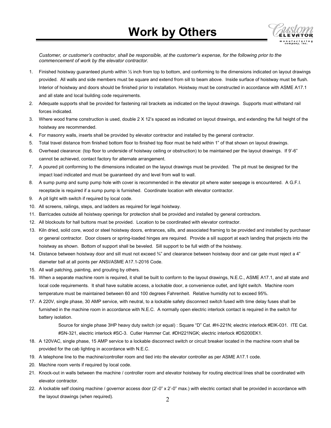

*Customer, or customer's contractor, shall be responsible, at the customer's expense, for the following prior to the commencement of work by the elevator contractor.*

- 1. Finished hoistway guaranteed plumb within ½ inch from top to bottom, and conforming to the dimensions indicated on layout drawings provided. All walls and side members must be square and extend from sill to beam above. Inside surface of hoistway must be flush. Interior of hoistway and doors should be finished prior to installation. Hoistway must be constructed in accordance with ASME A17.1 and all state and local building code requirements.
- 2. Adequate supports shall be provided for fastening rail brackets as indicated on the layout drawings. Supports must withstand rail forces indicated.
- 3. Where wood frame construction is used, double 2 X 12's spaced as indicated on layout drawings, and extending the full height of the hoistway are recommended.
- 4. For masonry walls, inserts shall be provided by elevator contractor and installed by the general contractor.
- 5. Total travel distance from finished bottom floor to finished top floor must be held within 1" of that shown on layout drawings.
- 6. Overhead clearance: (top floor to underside of hoistway ceiling or obstruction) to be maintained per the layout drawings. If 9'-6" cannot be achieved, contact factory for alternate arrangement.
- 7. A poured pit conforming to the dimensions indicated on the layout drawings must be provided. The pit must be designed for the impact load indicated and must be guaranteed dry and level from wall to wall.
- 8. A sump pump and sump pump hole with cover is recommended in the elevator pit where water seepage is encountered. A G.F.I. receptacle is required if a sump pump is furnished. Coordinate location with elevator contractor.
- 9. A pit light with switch if required by local code.
- 10. All screens, railings, steps, and ladders as required for legal hoistway.
- 11. Barricades outside all hoistway openings for protection shall be provided and installed by general contractors.
- 12. All blockouts for hall buttons must be provided. Location to be coordinated with elevator contractor.
- 13. Kiln dried, solid core, wood or steel hoistway doors, entrances, sills, and associated framing to be provided and installed by purchaser or general contractor. Door closers or spring-loaded hinges are required. Provide a sill support at each landing that projects into the hoistway as shown. Bottom of support shall be beveled. Sill support to be full width of the hoistway.
- 14. Distance between hoistway door and sill must not exceed  $\frac{3}{4}$  and clearance between hoistway door and car gate must reject a 4" diameter ball at all points per ANSI/ASME A17.1-2016 Code.
- 15. All wall patching, painting, and grouting by others.
- 16. When a separate machine room is required, it shall be built to conform to the layout drawings, N.E.C., ASME A17.1, and all state and local code requirements. It shall have suitable access, a lockable door, a convenience outlet, and light switch. Machine room temperature must be maintained between 60 and 100 degrees Fahrenheit. Relative humidity not to exceed 95%.
- 17. A 220V, single phase, 30 AMP service, with neutral, to a lockable safety disconnect switch fused with time delay fuses shall be furnished in the machine room in accordance with N.E.C. A normally open electric interlock contact is required in the switch for battery isolation.

Source for single phase 3HP heavy duty switch (or equal) : Square "D" Cat. #H-221N; electric interlock #EIK-031. ITE Cat. #SN-321, electric interlock #SC-3. Cutler Hammer Cat. #DH221NGK; electric interlock #DS200EK1.

- 18. A 120VAC, single phase, 15 AMP service to a lockable disconnect switch or circuit breaker located in the machine room shall be provided for the cab lighting in accordance with N.E.C.
- 19. A telephone line to the machine/controller room and tied into the elevator controller as per ASME A17.1 code.
- 20. Machine room vents if required by local code.
- 21. Knock-out in walls between the machine / controller room and elevator hoistway for routing electrical lines shall be coordinated with elevator contractor.
- 22. A lockable self closing machine / governor access door (2'-0" x 2'-0" max.) with electric contact shall be provided in accordance with the layout drawings (when required).  $\qquad \qquad \qquad 2$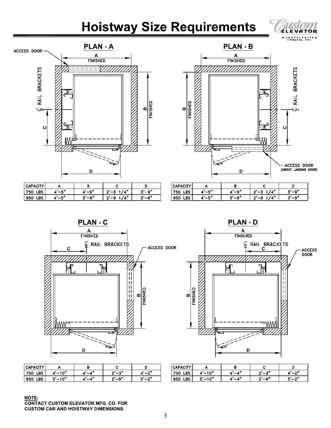# **Hoistway Size Requirements**





| CAPACITY     |     |     |                   |     |
|--------------|-----|-----|-------------------|-----|
| LBS<br>  750 | e » | __െ | " د ا<br>- 2000 - | .۵" |
| LBS<br>  950 | - " | ົດ" | , , ,,<br>-       | .പെ |

|               | PLAN – D             |                                     |
|---------------|----------------------|-------------------------------------|
|               | А<br><b>FINISHED</b> |                                     |
|               |                      | <b>BRACKETS</b>                     |
| FINISHED<br>m |                      | E RAIL I                            |
|               |                      | ပ                                   |
|               |                      |                                     |
|               | D                    | ACCESS DOOR<br>(ABOVE LANDING DOOR) |

Ь

m,

 $\overline{\phantom{a}}$ 

| CAPACITY   |     |                             |              |     |
|------------|-----|-----------------------------|--------------|-----|
| LBS<br>750 | - * | $\mathbf{A}^{\prime\prime}$ | , , ,,<br>~" | _a" |
| DС<br>950  | .   | _ര"                         | , , ,<br>~"  | .പെ |



| CAPACITY        |             |      |                   |       |
|-----------------|-------------|------|-------------------|-------|
| 750<br>DС<br>பல | $-10"$      | -42  | 一ス"<br>. .        | $-2"$ |
| ne<br>950       | $5' - 10''$ | - 49 | $ \alpha$ "<br>~" | _າ"   |



| <b>CAPACITY</b> |                    |      |          |     |
|-----------------|--------------------|------|----------|-----|
| DС<br>750<br>ᄖ  | -10"               | . 99 | $-21$    | ົດມ |
| DС<br>950       | ∕ −10"<br>- -<br>- | 499  | "۵-<br>◠ | ົ້  |

**NOTE: CONTACT CUSTOM ELEVATOR MFG. CO. FOR CUSTOM CAR AND HOISTWAY DIMENSIONS.**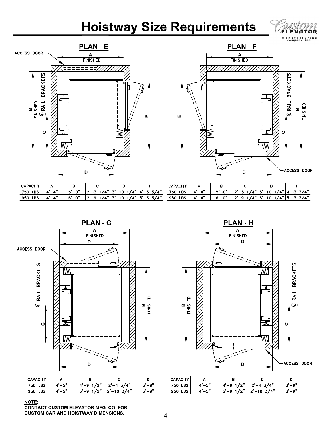# **Hoistway Size Requirements**





|        | <b>PLAN-F</b><br>А<br><b>FINISHED</b> |                     |                                                                  |          |
|--------|---------------------------------------|---------------------|------------------------------------------------------------------|----------|
| в<br>Щ |                                       | $\ddot{\mathbf{c}}$ | $\tilde{\mathcal{L}}$ RAIL BRACKETS<br>$\boldsymbol{\mathsf{m}}$ | FINISHED |
|        | D                                     |                     | ACCESS DOOR                                                      |          |

| <b>CAPACITY</b>   |         |            |                       |                                |                     | <b>CAPA</b> |
|-------------------|---------|------------|-----------------------|--------------------------------|---------------------|-------------|
| 750<br><b>LBS</b> | $-4"$   | . –0"<br>- | $ 2'-3 \t1/4'' 3'-10$ | $\overline{I}$                 | <b>3/4"</b>  <br>-3 | 750         |
| 950<br>LBS        | $- A''$ | $6' - 0''$ |                       | 2'-9 1/4" 3'-10 1/4" 5'-3 3/4" |                     | 950         |

| <b>CAPACITY</b> |            |       |                                               |  |
|-----------------|------------|-------|-----------------------------------------------|--|
| <b>750 LBS</b>  | $A'-A''$   | 5'-0" | $ 2'-3 \t1/4"  3'-10 \t1/4"  4'-3 \t3/4"$     |  |
| $ 950$ LBS      | $A' - A''$ |       | $6'-0''$   2'-9 1/4"   3'-10 1/4"   5'-3 3/4" |  |



| <b>I CAPACITY</b>   |       |                 |                  |      |
|---------------------|-------|-----------------|------------------|------|
| l 750<br><b>LBS</b> | t'–5" | 10 <sup>m</sup> | 3/4"<br>$2' - 4$ | '−ு  |
| 950<br>LBS          | じー5"  | $5 - 9$ 1/2"    | $2' - 10$ 3/4"   | "-۵" |



| <b>CAPACIT</b> |       |                             |                    |      |
|----------------|-------|-----------------------------|--------------------|------|
| 750<br>LBS     | $-5"$ | 10 <sup>m</sup>             | $\mu$<br>$2^{1}-4$ | –∘"  |
| LBS<br>  950   | $-5"$ | 10 <sup>m</sup><br>$5' - 9$ | 7/4"<br>$2' - 10$  | __റ" |

## NOTE: **CONTACT CUSTOM ELEVATOR MFG. CO. FOR**

**CUSTOM CAR AND HOISTWAY DIMENSIONS.**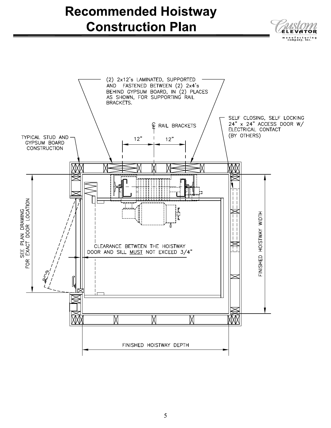# **Recommended Hoistway Construction Plan**



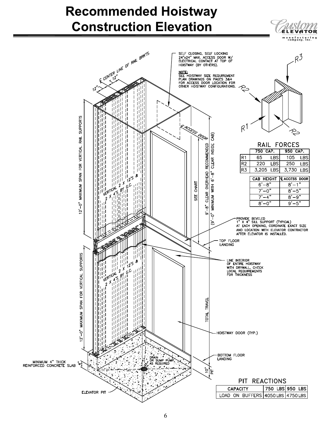# **Recommended Hoistway Construction Elevation**

ELEVĀTOŘ

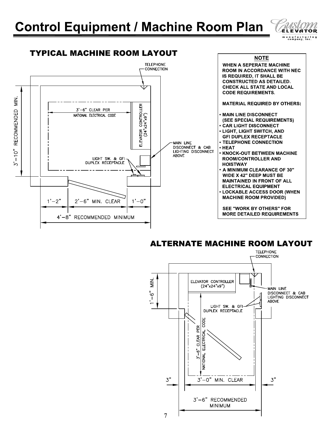

## TYPICAL MACHINE ROOM LAYOUT



## **ALTERNATE MACHINE ROOM LAYOUT**

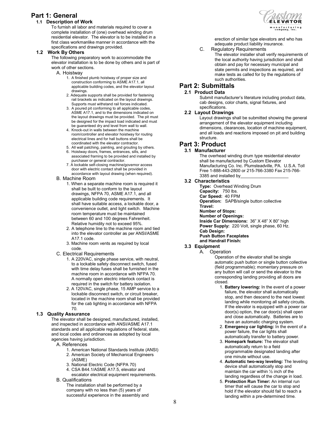## **Part 1: General**

## **1.1 Description of Work**

To furnish all labor and materials required to cover a complete installation of (one) overhead winding drum residential elevator. The elevator is to be installed in a first class workmanlike manner in accordance with the specifications and drawings provided.

## **1.2 Work By Others**

The following preparatory work to accommodate the elevator installation is to be done by others and is part of work of other sections.

- A. Hoistway
	- 1. A finished plumb hoistway of proper size and construction conforming to ASME A17.1, all applicable building codes, and the elevator layout drawings.
	- 2. Adequate supports shall be provided for fastening rail brackets as indicated on the layout drawings. Supports must withstand rail forces indicated.
	- 3. A poured pit conforming to all applicable codes, ASME A17.1, and to the dimensions indicated on the layout drawings must be provided. The pit must be designed for the impact load indicated and must be guaranteed dry and level from wall to wall.
	- 4. Knock-out in walls between the machine room/controller and elevator hoistway for routing electrical lines and for hall buttons shall be coordinated with the elevator contractor.
	- 5. All wall patching, painting, and grouting by others.
	- 6. Hoistway doors, frames, entrances, sills, and associated framing to be provided and installed by purchaser or general contractor.
	- 7. A lockable self-closing machine/governor access door with electric contact shall be provided in accordance with layout drawing (when required).
- B. Machine Room
	- 1. When a separate machine room is required it shall be built to conform to the layout drawings, NFPA 70, ASME A17.1, and all applicable building code requirements. It shall have suitable access, a lockable door, a convenience outlet, and light switch. Machine room temperature must be maintained between 60 and 100 degrees Fahrenheit. Relative humidity not to exceed 95%.
		- 2. A telephone line to the machine room and tied into the elevator controller as per ANSI/ASME A17.1 code.
		- 3. Machine room vents as required by local code.
- C. Electrical Requirements
	- 1. A 220VAC, single phase service, with neutral, to a lockable safety disconnect switch, fused with time delay fuses shall be furnished in the machine room in accordance with NFPA 70. A normally open electric interlock contact is required in the switch for battery isolation.
	- 2. A 120VAC, single phase, 15 AMP service to a lockable disconnect switch, or circuit breaker, located in the machine room shall be provided for the cab lighting in accordance with NFPA 70.

### **1.3 Quality Assurance**

The elevator shall be designed, manufactured, installed, and inspected in accordance with ANSI/ASME A17.1 standards and all applicable regulations of federal, state, and local codes and ordinances as adopted by local agencies having jurisdiction.

- A. References
	- 1. American National Standards Institute (ANSI) 2. American Society of Mechanical Engineers
	- (ASME)
	- 3. National Electric Code (NFPA 70)
	- 4. CSA B44.1/ASME A17.5, elevator and escalator electrical equipment requirements.
- B. Qualifications
	- The installation shall be performed by a company with no less than (5) years of successful experience in the assembly and



erection of similar type elevators and who has adequate product liability insurance.

C. Regulatory Requirements

The elevator installer shall verify requirements of the local authority having jurisdiction and shall obtain and pay for necessary municipal and state permits and inspections as required, and make tests as called for by the regulations of such authorities.

## **Part 2: Submittals**

### **2.1 Product Data**

Submit manufacturer's literature including product data, cab designs, color charts, signal fixtures, and specifications.

## **2.2 Layout Drawings**

Layout drawings shall be submitted showing the general arrangement of the elevator equipment including dimensions, clearances, location of machine equipment, and all loads and reactions imposed on pit and building structure.

## **Part 3: Product**

## **3.1 Manufacturer**

The overhead winding drum type residential elevator shall be manufactured by Custom Elevator Manufacturing Co. Inc. Plumsteadville, PA. U.S.A. Toll Free 1-888-443-2800 or 215-766-3380 Fax 215-766- 3385 and installed by

### **3.2 Characteristics**

**Type:** Overhead Winding Drum **Capacity:** 750 lbs. **Car Speed:** 40 FPM **Operation:** SAPB/single button collective **Travel: Number of Stops: Number of Openings: Inside Car Dimensions:** 36" X 48" X 80" high **Power Supply:** 220 Volt, single phase, 60 Hz. **Cab Design: Push Button Faceplates and Handrail Finish:**

### **3.3 Equipment**

### A. Operation

Operation of the elevator shall be single automatic push button or single button collective (field programmable); momentary pressure on any button will call or send the elevator to the corresponding landing providing all doors are closed.

- 1. **Battery lowering:** In the event of a power failure, the elevator shall automatically stop, and then descend to the next lowest landing while monitoring all safety circuits. If the elevator is equipped with a power car door(s) option, the car door(s) shall open and close automatically. Batteries are to have an automatic charging system.
- 2. **Emergency car lighting:** In the event of a power failure, the car lights shall automatically transfer to battery power.
- 3. **Homepark feature:** The elevator shall automatically return to a field programmable designated landing after one minute without use.
- 4. **Automatic two-way leveling:** The leveling device shall automatically stop and maintain the car within  $\frac{1}{2}$  inch of the landing regardless of the change in load.
- 5. **Protection Run Timer:** An internal run timer that will cause the car to stop and hold if the elevator should fail to reach a landing within a pre-determined time.